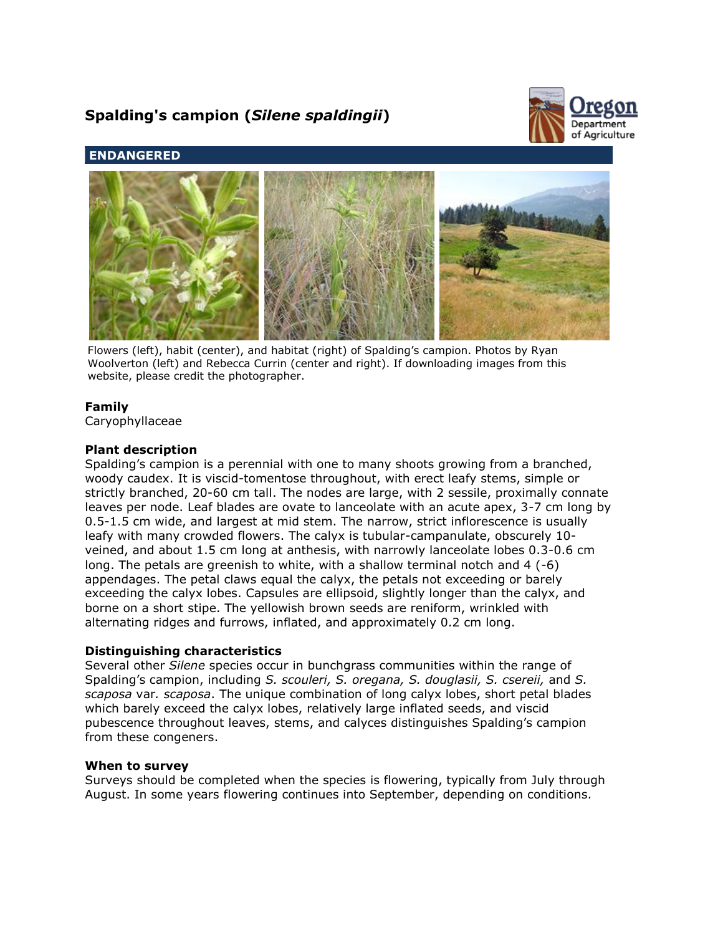# **Spalding's campion (***Silene spaldingii***)**



# **ENDANGERED**



Flowers (left), habit (center), and habitat (right) of Spalding's campion. Photos by Ryan Woolverton (left) and Rebecca Currin (center and right). If downloading images from this website, please credit the photographer.

## **Family**

Caryophyllaceae

## **Plant description**

Spalding's campion is a perennial with one to many shoots growing from a branched, woody caudex. It is viscid-tomentose throughout, with erect leafy stems, simple or strictly branched, 20-60 cm tall. The nodes are large, with 2 sessile, proximally connate leaves per node. Leaf blades are ovate to lanceolate with an acute apex, 3-7 cm long by 0.5-1.5 cm wide, and largest at mid stem. The narrow, strict inflorescence is usually leafy with many crowded flowers. The calyx is tubular-campanulate, obscurely 10 veined, and about 1.5 cm long at anthesis, with narrowly lanceolate lobes 0.3-0.6 cm long. The petals are greenish to white, with a shallow terminal notch and 4 (-6) appendages. The petal claws equal the calyx, the petals not exceeding or barely exceeding the calyx lobes. Capsules are ellipsoid, slightly longer than the calyx, and borne on a short stipe. The yellowish brown seeds are reniform, wrinkled with alternating ridges and furrows, inflated, and approximately 0.2 cm long.

## **Distinguishing characteristics**

Several other *Silene* species occur in bunchgrass communities within the range of Spalding's campion, including *S. scouleri, S. oregana, S. douglasii, S. csereii,* and *S. scaposa* var*. scaposa*. The unique combination of long calyx lobes, short petal blades which barely exceed the calyx lobes, relatively large inflated seeds, and viscid pubescence throughout leaves, stems, and calyces distinguishes Spalding's campion from these congeners.

## **When to survey**

Surveys should be completed when the species is flowering, typically from July through August. In some years flowering continues into September, depending on conditions.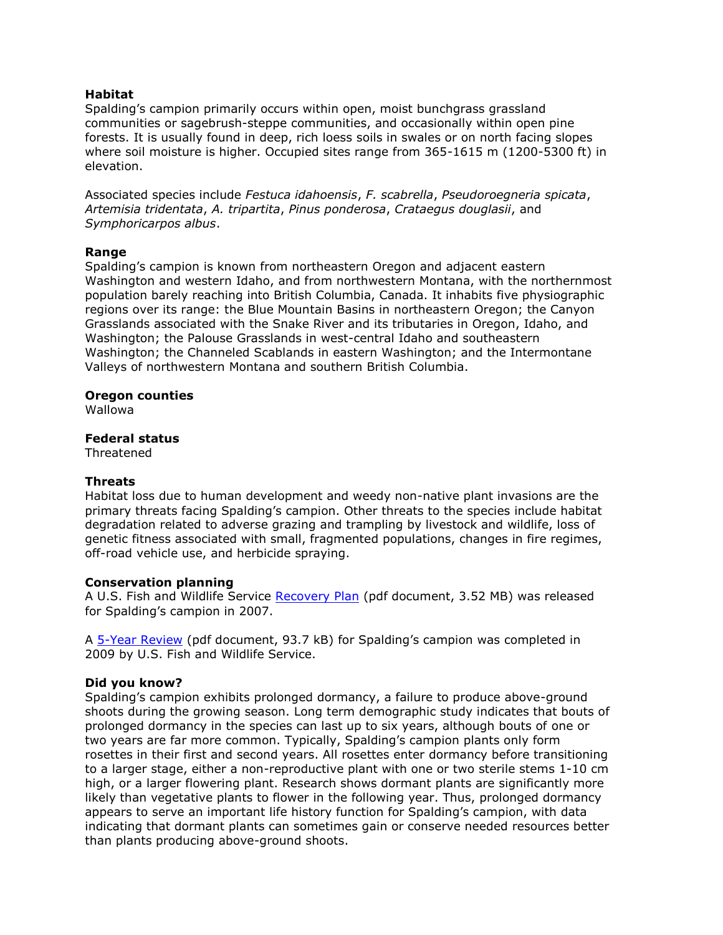## **Habitat**

Spalding's campion primarily occurs within open, moist bunchgrass grassland communities or sagebrush-steppe communities, and occasionally within open pine forests. It is usually found in deep, rich loess soils in swales or on north facing slopes where soil moisture is higher. Occupied sites range from 365-1615 m (1200-5300 ft) in elevation.

Associated species include *Festuca idahoensis*, *F. scabrella*, *Pseudoroegneria spicata*, *Artemisia tridentata*, *A. tripartita*, *Pinus ponderosa*, *Crataegus douglasii*, and *Symphoricarpos albus*.

## **Range**

Spalding's campion is known from northeastern Oregon and adjacent eastern Washington and western Idaho, and from northwestern Montana, with the northernmost population barely reaching into British Columbia, Canada. It inhabits five physiographic regions over its range: the Blue Mountain Basins in northeastern Oregon; the Canyon Grasslands associated with the Snake River and its tributaries in Oregon, Idaho, and Washington; the Palouse Grasslands in west-central Idaho and southeastern Washington; the Channeled Scablands in eastern Washington; and the Intermontane Valleys of northwestern Montana and southern British Columbia.

#### **Oregon counties**

Wallowa

#### **Federal status**

Threatened

## **Threats**

Habitat loss due to human development and weedy non-native plant invasions are the primary threats facing Spalding's campion. Other threats to the species include habitat degradation related to adverse grazing and trampling by livestock and wildlife, loss of genetic fitness associated with small, fragmented populations, changes in fire regimes, off-road vehicle use, and herbicide spraying.

## **Conservation planning**

A U.S. Fish and Wildlife Service [Recovery Plan](http://ecos.fws.gov/docs/recovery_plan/071012.pdf) (pdf document, 3.52 MB) was released for Spalding's campion in 2007.

A [5-Year Review](http://ecos.fws.gov/docs/five_year_review/doc2612.pdf) (pdf document, 93.7 kB) for Spalding's campion was completed in 2009 by U.S. Fish and Wildlife Service.

## **Did you know?**

Spalding's campion exhibits prolonged dormancy, a failure to produce above-ground shoots during the growing season. Long term demographic study indicates that bouts of prolonged dormancy in the species can last up to six years, although bouts of one or two years are far more common. Typically, Spalding's campion plants only form rosettes in their first and second years. All rosettes enter dormancy before transitioning to a larger stage, either a non-reproductive plant with one or two sterile stems 1-10 cm high, or a larger flowering plant. Research shows dormant plants are significantly more likely than vegetative plants to flower in the following year. Thus, prolonged dormancy appears to serve an important life history function for Spalding's campion, with data indicating that dormant plants can sometimes gain or conserve needed resources better than plants producing above-ground shoots.